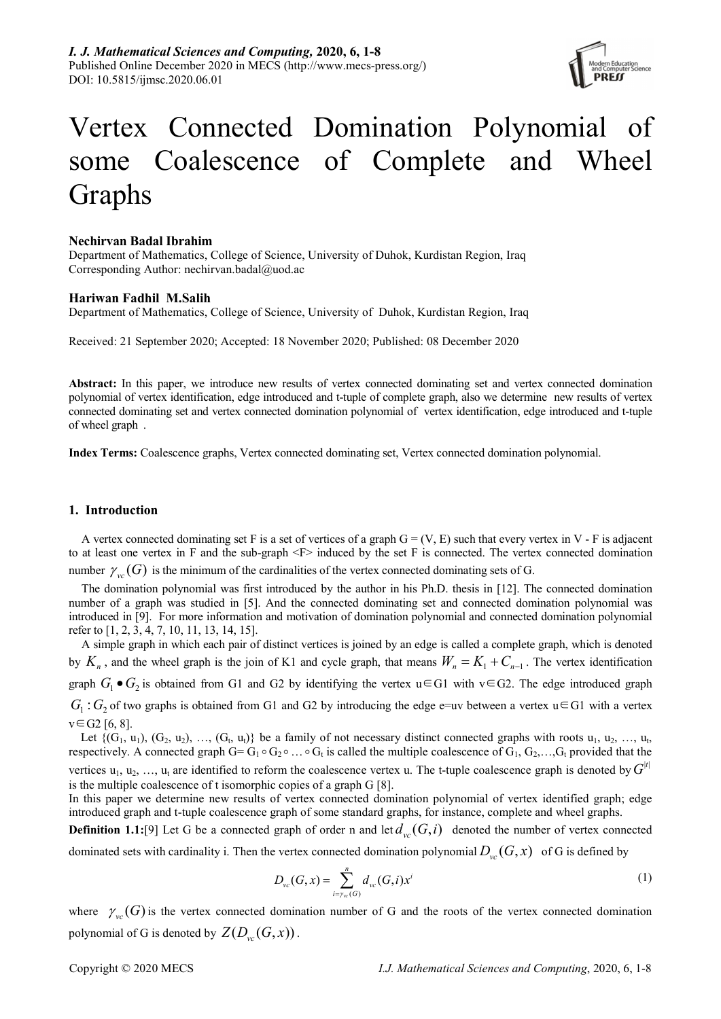

# Vertex Connected Domination Polynomial of some Coalescence of Complete and Wheel Graphs

# Nechirvan Badal Ibrahim

Department of Mathematics, College of Science, University of Duhok, Kurdistan Region, Iraq Corresponding Author: nechirvan.badal@uod.ac

# Hariwan Fadhil M.Salih

Department of Mathematics, College of Science, University of Duhok, Kurdistan Region, Iraq

Received: 21 September 2020; Accepted: 18 November 2020; Published: 08 December 2020

Abstract: In this paper, we introduce new results of vertex connected dominating set and vertex connected domination polynomial of vertex identification, edge introduced and t-tuple of complete graph, also we determine new results of vertex connected dominating set and vertex connected domination polynomial of vertex identification, edge introduced and t-tuple of wheel graph .

Index Terms: Coalescence graphs, Vertex connected dominating set, Vertex connected domination polynomial.

# 1. Introduction

A vertex connected dominating set F is a set of vertices of a graph  $G = (V, E)$  such that every vertex in V - F is adjacent to at least one vertex in F and the sub-graph <F> induced by the set F is connected. The vertex connected domination number  $\gamma_{vc}(G)$  is the minimum of the cardinalities of the vertex connected dominating sets of G.

The domination polynomial was first introduced by the author in his Ph.D. thesis in [12]. The connected domination number of a graph was studied in [5]. And the connected dominating set and connected domination polynomial was introduced in [9]. For more information and motivation of domination polynomial and connected domination polynomial refer to [1, 2, 3, 4, 7, 10, 11, 13, 14, 15].

A simple graph in which each pair of distinct vertices is joined by an edge is called a complete graph, which is denoted by  $K_n$ , and the wheel graph is the join of K1 and cycle graph, that means  $W_n = K_1 + C_{n-1}$ . The vertex identification graph  $G_1 \bullet G_2$  is obtained from G1 and G2 by identifying the vertex u ∈ G1 with v ∈ G2. The edge introduced graph  $G_1$ :  $G_2$  of two graphs is obtained from G1 and G2 by introducing the edge e=uv between a vertex u ∈ G1 with a vertex  $v \in G2$  [6, 8].

Let  $\{(G_1, u_1), (G_2, u_2), ..., (G_t, u_t)\}\)$  be a family of not necessary distinct connected graphs with roots  $u_1, u_2, ..., u_t$ respectively. A connected graph  $G = G_1 \circ G_2 \circ \dots \circ G_t$  is called the multiple coalescence of  $G_1, G_2, \dots, G_t$  provided that the vertices  $u_1, u_2, ..., u_t$  are identified to reform the coalescence vertex u. The t-tuple coalescence graph is denoted by  $G^{|t|}$ is the multiple coalescence of t isomorphic copies of a graph G [8].

In this paper we determine new results of vertex connected domination polynomial of vertex identified graph; edge introduced graph and t-tuple coalescence graph of some standard graphs, for instance, complete and wheel graphs.

**Definition 1.1:**[9] Let G be a connected graph of order n and let  $d_{vc}(G, i)$  denoted the number of vertex connected

dominated sets with cardinality i. Then the vertex connected domination polynomial  $D_{vc}(G, x)$  of G is defined by

$$
D_{\nu c}(G, x) = \sum_{i = \gamma_w(G)}^{n} d_{\nu c}(G, i) x^{i}
$$
 (1)

where  $\gamma_{vc}(G)$  is the vertex connected domination number of G and the roots of the vertex connected domination polynomial of G is denoted by  $Z(D_{\nu c}(G, x))$ .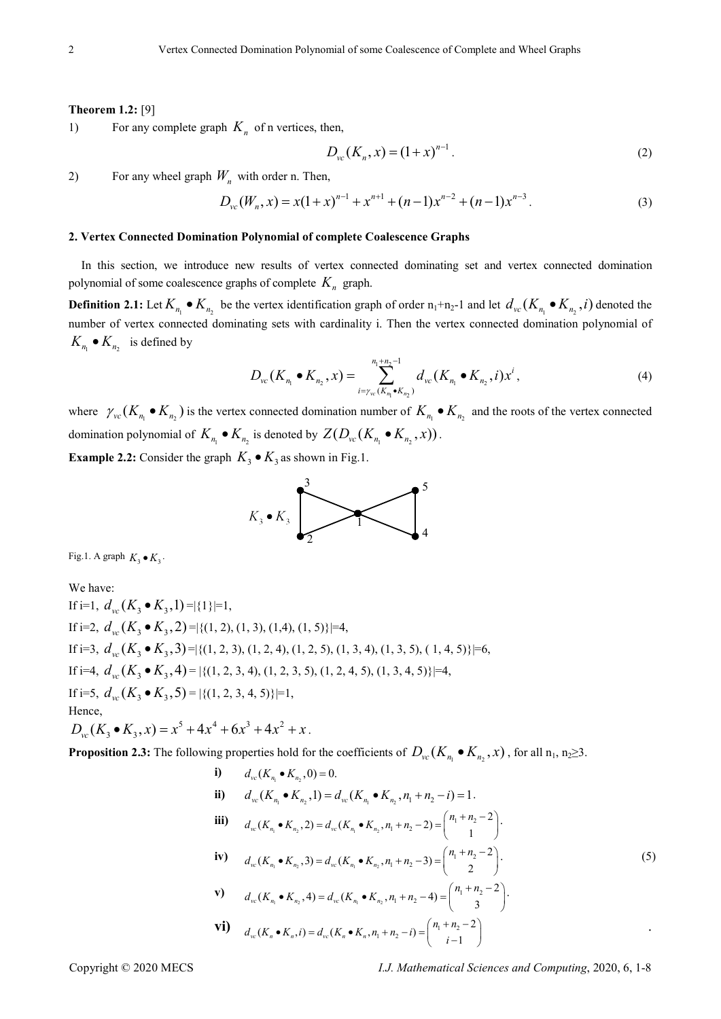#### Theorem 1.2: [9]

1) For any complete graph  $K_n$  of n vertices, then,

$$
D_{vc}(K_n, x) = (1+x)^{n-1}.
$$
 (2)

2) For any wheel graph  $W_n$  with order n. Then,

$$
D_{vc}(W_n, x) = x(1+x)^{n-1} + x^{n+1} + (n-1)x^{n-2} + (n-1)x^{n-3}.
$$
 (3)

### 2. Vertex Connected Domination Polynomial of complete Coalescence Graphs

In this section, we introduce new results of vertex connected dominating set and vertex connected domination polynomial of some coalescence graphs of complete  $K_n$  graph.

**Definition 2.1:** Let  $K_{n_1} \bullet K_{n_2}$  be the vertex identification graph of order  $n_1+n_2-1$  and let  $d_{vc}(K_{n_1} \bullet K_{n_2}, i)$  denoted the number of vertex connected dominating sets with cardinality i. Then the vertex connected domination polynomial of  $K_{n_1} \bullet K_{n_2}$  is defined by

$$
D_{\nu c}(K_{n_1} \bullet K_{n_2}, x) = \sum_{i = \gamma_{\nu c}(K_{n_1} \bullet K_{n_2})}^{n_1 + n_2 - 1} d_{\nu c}(K_{n_1} \bullet K_{n_2}, i) x^i,
$$
\n<sup>(4)</sup>

where  $\gamma_{vc}(K_{n_1} \bullet K_{n_2})$  is the vertex connected domination number of  $K_{n_1} \bullet K_{n_2}$  and the roots of the vertex connected domination polynomial of  $K_{n_1} \bullet K_{n_2}$  is denoted by  $Z(D_{vc}(K_{n_1} \bullet K_{n_2}, x))$ .

**Example 2.2:** Consider the graph  $K_3 \bullet K_3$  as shown in Fig.1.



Fig.1. A graph  $K_3 \bullet K_3$ .

We have: If i=1,  $d_{\infty}(K_3 \bullet K_3, 1) = |\{1\}|=1$ , If i=2,  $d_{\infty}(K_2 \bullet K_3, 2) = \{(1, 2), (1, 3), (1, 4), (1, 5)\} = 4$ , If i=3,  $d_{\infty}(K_3 \bullet K_3, 3) = |\{(1, 2, 3), (1, 2, 4), (1, 2, 5), (1, 3, 4), (1, 3, 5), (1, 4, 5)\}|=6,$ If i=4,  $d_{\infty}(K_3 \bullet K_3, 4) = |\{(1, 2, 3, 4), (1, 2, 3, 5), (1, 2, 4, 5), (1, 3, 4, 5)\}|=4$ , If i=5,  $d_{w}(K_3 \bullet K_3, 5) = |\{(1, 2, 3, 4, 5)\}|=1,$ Hence,  $D_{\nu c}(K_3 \bullet K_3, x) = x^5 + 4x^4 + 6x^3 + 4x^2 + x$ .

**Proposition 2.3:** The following properties hold for the coefficients of  $D_{vc}(K_{n_1} \bullet K_{n_2}, x)$ , for all  $n_1, n_2 \ge 3$ .

i) 
$$
d_w(K_{n_1} \bullet K_{n_2}, 0) = 0.
$$
  
\nii)  $d_w(K_{n_1} \bullet K_{n_2}, 1) = d_w(K_{n_1} \bullet K_{n_2}, n_1 + n_2 - i) = 1.$   
\niii)  $d_w(K_{n_1} \bullet K_{n_2}, 2) = d_w(K_{n_1} \bullet K_{n_2}, n_1 + n_2 - 2) = {n_1 + n_2 - 2 \choose 1}.$   
\niv)  $d_w(K_{n_1} \bullet K_{n_2}, 3) = d_w(K_{n_1} \bullet K_{n_2}, n_1 + n_2 - 3) = {n_1 + n_2 - 2 \choose 2}.$   
\nvi)  $d_w(K_{n_1} \bullet K_{n_2}, 4) = d_w(K_{n_1} \bullet K_{n_2}, n_1 + n_2 - 4) = {n_1 + n_2 - 2 \choose 3}.$   
\nvii)  $d_w(K_n \bullet K_n, i) = d_w(K_n \bullet K_n, n_1 + n_2 - i) = {n_1 + n_2 - 2 \choose i - 1}$ 

Copyright © 2020 MECS **I.J.** Mathematical Sciences and Computing, 2020, 6, 1-8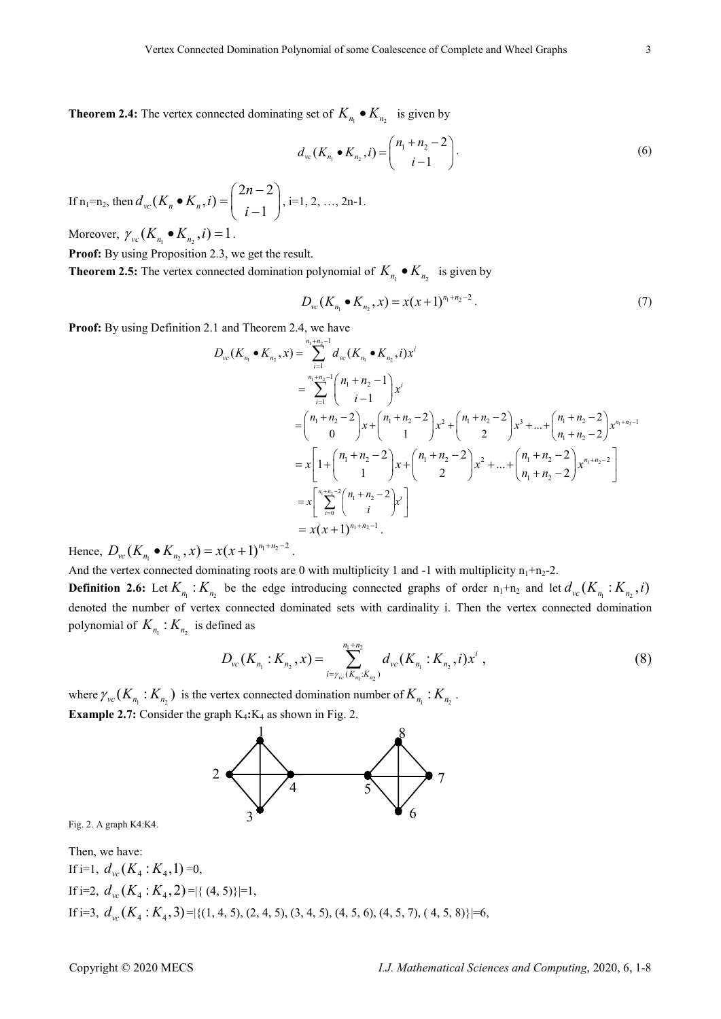**Theorem 2.4:** The vertex connected dominating set of  $K_{n_1} \bullet K_{n_2}$  is given by

$$
d_{vc}(K_{n_1} \bullet K_{n_2}, i) = {n_1 + n_2 - 2 \choose i - 1}.
$$
 (6)

If  $n_1=n_2$ , then  $2n-2$  $(K_n \bullet K_n, i) =$  $v_c(\Lambda_n \bullet \Lambda_n, l) = \begin{cases} i-1 \end{cases}$  $d_{vc}(K_n \bullet K_n, i) = \begin{pmatrix} 2n \end{pmatrix}$ i •  $K_n$ ,  $i$ ) =  $\binom{2n-2}{i-1}$ , i=1, 2, ..., 2n-1.

Moreover,  $\gamma_{vc}(K_{n_1} \bullet K_{n_2}, i) = 1$ .

Proof: By using Proposition 2.3, we get the result.

**Theorem 2.5:** The vertex connected domination polynomial of  $K_{n_1} \bullet K_{n_2}$  is given by

$$
D_{\rm vc}(K_{n_1} \bullet K_{n_2}, x) = x(x+1)^{n_1+n_2-2}.
$$
 (7)

Proof: By using Definition 2.1 and Theorem 2.4, we have

$$
D_{vc}(K_{n_1} \bullet K_{n_2}, x) = \sum_{i=1}^{n_1+n_2-1} d_{vc}(K_{n_1} \bullet K_{n_2}, i)x^i
$$
  
\n
$$
= \sum_{i=1}^{n_1+n_2-1} {n_1+n_2-1 \choose i-1} x^i
$$
  
\n
$$
= {n_1+n_2-2 \choose 0} x + {n_1+n_2-2 \choose 1} x^2 + {n_1+n_2-2 \choose 2} x^3 + ... + {n_1+n_2-2 \choose n_1+n_2-2} x^{n_1+n_2-1}
$$
  
\n
$$
= x \left[1 + {n_1+n_2-2 \choose 1} x + {n_1+n_2-2 \choose 2} x^2 + ... + {n_1+n_2-2 \choose n_1+n_2-2} x^{n_1+n_2-2} \right]
$$
  
\n
$$
= x \left[ \sum_{i=0}^{n_1+n_2-2} {n_1+n_2-2 \choose i} x^i \right]
$$
  
\n
$$
= x(x+1)^{n_1+n_2-1}.
$$

Hence,  $D_{vc}(K_{n_1} \bullet K_{n_2}, x) = x(x+1)^{n_1+n_2-1}$  $D_{\scriptscriptstyle{vc}}(K_{n_1} \bullet K_{n_2}, x) = x(x+1)^{n_1+n_2-2}$ .

And the vertex connected dominating roots are 0 with multiplicity 1 and -1 with multiplicity  $n_1+n_2-2$ .

**Definition 2.6:** Let  $K_{n_1}$ :  $K_{n_2}$  be the edge introducing connected graphs of order  $n_1+n_2$  and let  $d_{vc}(K_{n_1}: K_{n_2}, i)$ denoted the number of vertex connected dominated sets with cardinality i. Then the vertex connected domination polynomial of  $K_{n_1}$ :  $K_{n_2}$  is defined as

$$
D_{\nu c}(K_{n_1}:K_{n_2},x) = \sum_{i=\gamma_{\nu c}(K_{n_1}:K_{n_2})}^{n_1+n_2} d_{\nu c}(K_{n_1}:K_{n_2},i)x^i,
$$
\n(8)

where  $\gamma_{vc}(K_{n_1}:K_{n_2})$  is the vertex connected domination number of  $K_{n_1}:K_{n_2}$ . **Example 2.7:** Consider the graph  $K_4$ : $K_4$  as shown in Fig. 2.



Fig. 2. A graph K4:K4.

Then, we have:  
\nIf i=1, 
$$
d_{vc}(K_4 : K_4, 1) = 0
$$
,  
\nIf i=2,  $d_{vc}(K_4 : K_4, 2) = |\{(4, 5)\}| = 1$ ,  
\nIf i=3,  $d_{vc}(K_4 : K_4, 3) = |\{(1, 4, 5), (2, 4, 5), (3, 4, 5), (4, 5, 6), (4, 5, 7), (4, 5, 8)\}| = 6$ ,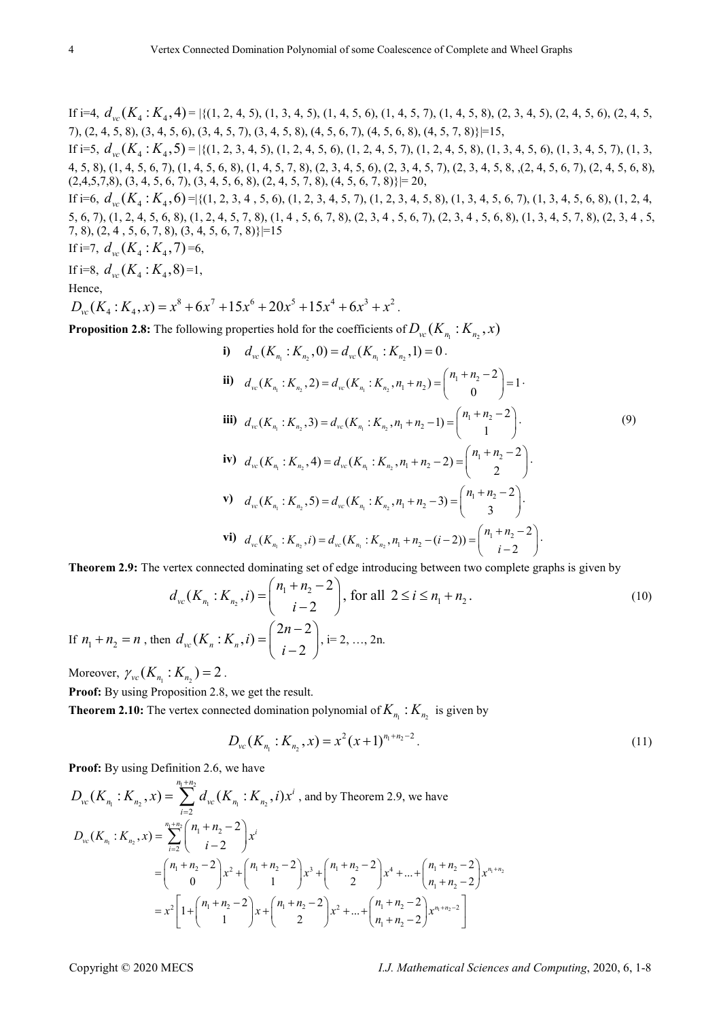If i=4,  $d_w(K_4:K_4,4) = |\{(1, 2, 4, 5), (1, 3, 4, 5), (1, 4, 5, 6), (1, 4, 5, 7), (1, 4, 5, 8), (2, 3, 4, 5), (2, 4, 5, 6), (2, 4, 5, 6)\}|$ 7), (2, 4, 5, 8), (3, 4, 5, 6), (3, 4, 5, 7), (3, 4, 5, 8), (4, 5, 6, 7), (4, 5, 6, 8), (4, 5, 7, 8)}|=15,

If i=5,  $d_{vc}(K_4:K_4,5) = |\{(1, 2, 3, 4, 5), (1, 2, 4, 5, 6), (1, 2, 4, 5, 7), (1, 2, 4, 5, 8), (1, 3, 4, 5, 6), (1, 3, 4, 5, 7), (1, 3, 4, 5, 7), (1, 3, 4, 5, 7)\}|$ 4, 5, 8), (1, 4, 5, 6, 7), (1, 4, 5, 6, 8), (1, 4, 5, 7, 8), (2, 3, 4, 5, 6), (2, 3, 4, 5, 7), (2, 3, 4, 5, 8, ,(2, 4, 5, 6, 7), (2, 4, 5, 6, 8),  $(2,4,5,7,8), (3,4,5,6,7), (3,4,5,6,8), (2,4,5,7,8), (4,5,6,7,8)\} = 20,$ 

If i=6,  $d_{vc}(K_4:K_4,6)$  = { $(1, 2, 3, 4, 5, 6)$ ,  $(1, 2, 3, 4, 5, 7)$ ,  $(1, 2, 3, 4, 5, 8)$ ,  $(1, 3, 4, 5, 6, 7)$ ,  $(1, 3, 4, 5, 6, 8)$ ,  $(1, 2, 4, 5)$ 5, 6, 7), (1, 2, 4, 5, 6, 8), (1, 2, 4, 5, 7, 8), (1, 4, 5, 6, 7, 8), (2, 3, 4, 5, 6, 7), (2, 3, 4, 5, 6, 8), (1, 3, 4, 5, 7, 8), (2, 3, 4, 5, 7, 8), (2, 4 , 5, 6, 7, 8), (3, 4, 5, 6, 7, 8)}|=15

If i=7,  $d_{\infty}(K_A:K_A,7)$  =6,

If i=8,  $d_{vc}$   $(K_4 : K_4, 8) = 1$ ,

Hence,

 $D_{vc}(K_4:K_4,x) = x^8 + 6x^7 + 15x^6 + 20x^5 + 15x^4 + 6x^3 + x^2$ .

**Proposition 2.8:** The following properties hold for the coefficients of  $D_{vc}(K_{n_1}:K_{n_2},x)$ 

i) 
$$
d_w(K_{n_1}: K_{n_2}, 0) = d_{vc}(K_{n_1}: K_{n_2}, 1) = 0
$$
.  
\nii)  $d_w(K_{n_1}: K_{n_2}, 2) = d_{vc}(K_{n_1}: K_{n_2}, n_1 + n_2) = {n_1 + n_2 - 2 \choose 0} = 1$ .  
\niii)  $d_w(K_{n_1}: K_{n_2}, 3) = d_{vc}(K_{n_1}: K_{n_2}, n_1 + n_2 - 1) = {n_1 + n_2 - 2 \choose 1}$ .  
\niv)  $d_w(K_{n_1}: K_{n_2}, 4) = d_{vc}(K_{n_1}: K_{n_2}, n_1 + n_2 - 2) = {n_1 + n_2 - 2 \choose 2}$ .  
\nv)  $d_w(K_{n_1}: K_{n_2}, 5) = d_{vc}(K_{n_1}: K_{n_2}, n_1 + n_2 - 3) = {n_1 + n_2 - 2 \choose 3}$ .  
\nvi)  $d_{vc}(K_{n_1}: K_{n_2}, i) = d_{vc}(K_{n_1}: K_{n_2}, n_1 + n_2 - (i - 2)) = {n_1 + n_2 - 2 \choose i - 2}$ .

Theorem 2.9: The vertex connected dominating set of edge introducing between two complete graphs is given by

$$
d_{vc}(K_{n_1}:K_{n_2}, i) = {n_1 + n_2 - 2 \choose i - 2}, \text{ for all } 2 \le i \le n_1 + n_2.
$$
  
then 
$$
d_{vc}(K_n:K_n, i) = {2n - 2 \choose i - 2}, i = 2, ..., 2n.
$$
 (10)

Moreover,  $\gamma_{vc}(K_{n_1}:K_{n_2}) = 2$ .

If  $n_1 + n_2 = n$ 

Proof: By using Proposition 2.8, we get the result.

**Theorem 2.10:** The vertex connected domination polynomial of  $K_{n_1}$ :  $K_{n_2}$  is given by

$$
D_{\nu c}(K_{n_1}:K_{n_2},x) = x^2(x+1)^{n_1+n_2-2}.
$$
\n(11)

Proof: By using Definition 2.6, we have

$$
D_{vc}(K_{n_1}:K_{n_2},x) = \sum_{i=2}^{n_1+n_2} d_{vc}(K_{n_1}:K_{n_2},i)x^i
$$
, and by Theorem 2.9, we have  
\n
$$
D_{vc}(K_{n_1}:K_{n_2},x) = \sum_{i=2}^{n_1+n_2} {n_1+n_2-2 \choose i-2} x^i
$$
  
\n
$$
= {n_1+n_2-2 \choose 0} x^2 + {n_1+n_2-2 \choose 1} x^3 + {n_1+n_2-2 \choose 2} x^4 + ... + {n_1+n_2-2 \choose n_1+n_2-2} x^{n_1+n_2}
$$
  
\n
$$
= x^2 \left[1 + {n_1+n_2-2 \choose 1} x + {n_1+n_2-2 \choose 2} x^2 + ... + {n_1+n_2-2 \choose n_1+n_2-2} x^{n_1+n_2-2} \right]
$$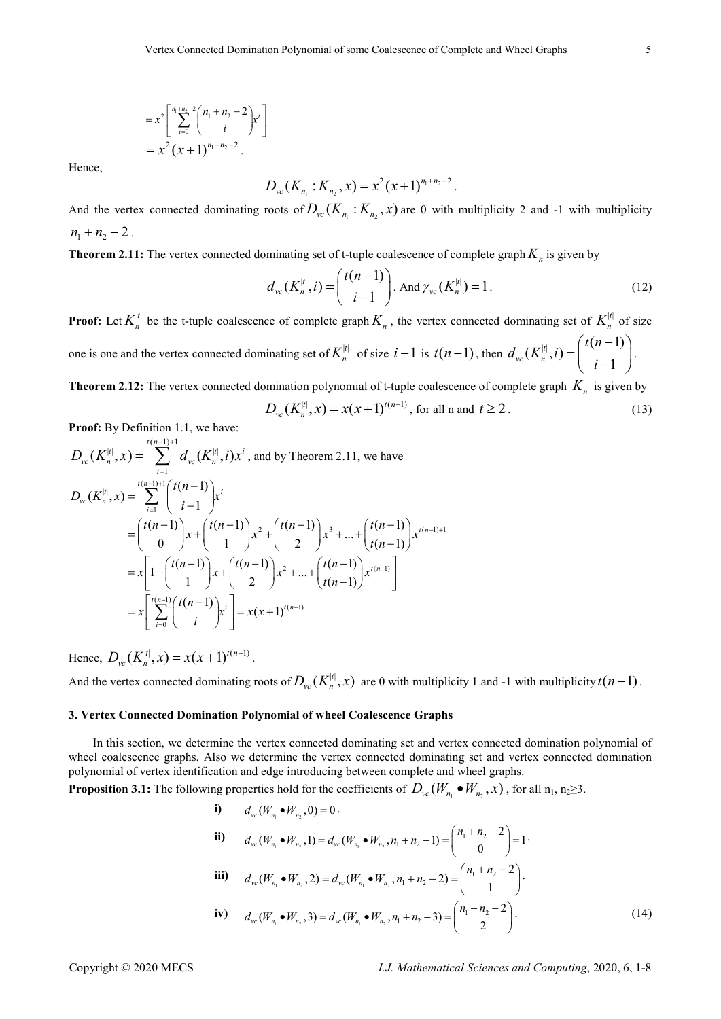$$
= x^{2} \left[ \sum_{i=0}^{n_{1}+n_{2}-2} {n_{1}+n_{2}-2 \choose i} x^{i} \right]
$$
  
=  $x^{2} (x + 1)^{n_{1}+n_{2}-2}$ .

Hence,

$$
D_{vc}(K_{n_1}:K_{n_2},x)=x^2(x+1)^{n_1+n_2-2}.
$$

And the vertex connected dominating roots of  $D_{vc}(K_{n_1}: K_{n_2}, x)$  are 0 with multiplicity 2 and -1 with multiplicity  $n_1 + n_2 - 2$ .

**Theorem 2.11:** The vertex connected dominating set of t-tuple coalescence of complete graph  $K_n$  is given by

$$
d_{vc}(K_n^{|t|}, i) = {t(n-1) \choose i-1}.
$$
 And  $\gamma_{vc}(K_n^{|t|}) = 1.$  (12)

**Proof:** Let  $K_n^{[t]}$  be the t-tuple coalescence of complete graph  $K_n$ , the vertex connected dominating set of  $K_n^{[t]}$  of size one is one and the vertex connected dominating set of  $K_n^{|t|}$  of size  $i-1$  is  $t(n-1)$ , then  $d_{vc}(K_n^{|t|}, i) = \begin{pmatrix} t(n-1) \\ \vdots \\ t(n-1) \end{pmatrix}$ 1  $t_{vc}^{\prime}(K_n^{\left|t\right|},$  $t(n$  $d_{vc}(K_n^{|t|}, i) =$ i  $\left(t(n-1)\right)$  $=\left(\begin{array}{c} i(n-1) \\ i-1 \end{array}\right).$ 

**Theorem 2.12:** The vertex connected domination polynomial of t-tuple coalescence of complete graph  $K_n$  is given by

$$
D_{\nu c}(K_n^{|t|}, x) = x(x+1)^{t(n-1)}, \text{ for all n and } t \ge 2.
$$
 (13)

Proof: By Definition 1.1, we have:

$$
D_{vc}(K_n^{[t]}, x) = \sum_{i=1}^{t(n-1)+1} d_{vc}(K_n^{[t]}, i)x^i, \text{ and by Theorem 2.11, we have}
$$
  
\n
$$
D_{vc}(K_n^{[t]}, x) = \sum_{i=1}^{t(n-1)+1} {t(n-1) \choose i-1} x^i
$$
  
\n
$$
= {t(n-1) \choose 0} x + {t(n-1) \choose 1} x^2 + {t(n-1) \choose 2} x^3 + ... + {t(n-1) \choose t(n-1)} x^{t(n-1)+1}
$$
  
\n
$$
= x \left[ 1 + {t(n-1) \choose 1} x + {t(n-1) \choose 2} x^2 + ... + {t(n-1) \choose t(n-1)} x^{t(n-1)} \right]
$$
  
\n
$$
= x \left[ \sum_{i=0}^{t(n-1)} {t(n-1) \choose i} x^i \right] = x(x+1)^{t(n-1)}
$$

Hence,  $D_{vc}(K_n^{|t|}, x) = x(x+1)^{t(n-1)}$ .

And the vertex connected dominating roots of  $D_{vc}(K_n^{[t]},x)$  are 0 with multiplicity 1 and -1 with multiplicity  $t(n-1)$ .

#### 3. Vertex Connected Domination Polynomial of wheel Coalescence Graphs

In this section, we determine the vertex connected dominating set and vertex connected domination polynomial of wheel coalescence graphs. Also we determine the vertex connected dominating set and vertex connected domination polynomial of vertex identification and edge introducing between complete and wheel graphs.

**Proposition 3.1:** The following properties hold for the coefficients of  $D_{vc}(W_{n_1} \bullet W_{n_2}, x)$ , for all  $n_1, n_2 \ge 3$ .

i) 
$$
d_{vc}(W_{n_1} \bullet W_{n_2}, 0) = 0
$$
.  
\nii)  $d_{vc}(W_{n_1} \bullet W_{n_2}, 1) = d_{vc}(W_{n_1} \bullet W_{n_2}, n_1 + n_2 - 1) = \begin{pmatrix} n_1 + n_2 - 2 \\ 0 \end{pmatrix} = 1$ .  
\niii)  $d_{vc}(W_{n_1} \bullet W_{n_2}, 2) = d_{vc}(W_{n_1} \bullet W_{n_2}, n_1 + n_2 - 2) = \begin{pmatrix} n_1 + n_2 - 2 \\ 1 \end{pmatrix}$ .  
\niv)  $d_{vc}(W_{n_1} \bullet W_{n_2}, 3) = d_{vc}(W_{n_1} \bullet W_{n_2}, n_1 + n_2 - 3) = \begin{pmatrix} n_1 + n_2 - 2 \\ 2 \end{pmatrix}$ . (14)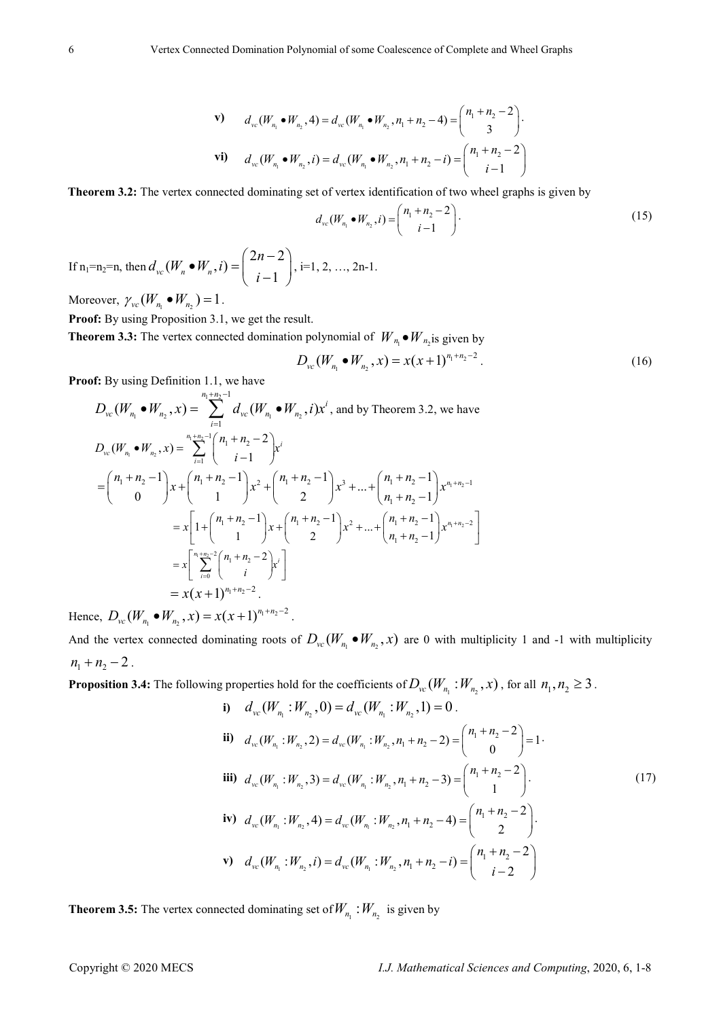$$
\mathbf{v}) \qquad d_{vc}(W_{n_1} \bullet W_{n_2}, 4) = d_{vc}(W_{n_1} \bullet W_{n_2}, n_1 + n_2 - 4) = \begin{pmatrix} n_1 + n_2 - 2 \\ 3 \end{pmatrix}.
$$
  
\n
$$
\mathbf{vi}) \qquad d_{vc}(W_{n_1} \bullet W_{n_2}, i) = d_{vc}(W_{n_1} \bullet W_{n_2}, n_1 + n_2 - i) = \begin{pmatrix} n_1 + n_2 - 2 \\ i - 1 \end{pmatrix}
$$

Theorem 3.2: The vertex connected dominating set of vertex identification of two wheel graphs is given by

$$
d_{vc}(W_{n_1} \bullet W_{n_2}, i) = {n_1 + n_2 - 2 \choose i - 1}.
$$
 (15)

If  $n_1$ = $n_2$ = $n$ , then  $2n-2$  $(W_n \bullet W_n, i) =$  $v_c(W_n \bullet W_n, l) = \begin{cases} i-1 \end{cases}$  $d_{vc}(W_n \bullet W_n, i) = \begin{pmatrix} 2n \end{pmatrix}$ i  $\bullet W_n$ , *i*) =  $\binom{2n-2}{i-1}$ , i=1, 2, ..., 2n-1.

Moreover,  $\gamma_{vc}(W_{n_1} \bullet W_{n_2}) = 1$ .

Proof: By using Proposition 3.1, we get the result.

**Theorem 3.3:** The vertex connected domination polynomial of  $W_{n_1} \bullet W_{n_2}$  is given by

$$
D_{\nu c}(W_{n_1} \bullet W_{n_2}, x) = x(x+1)^{n_1+n_2-2}.
$$
 (16)

Proof: By using Definition 1.1, we have

$$
D_{vc}(W_{n_1} \bullet W_{n_2}, x) = \sum_{i=1}^{n_1 + n_2 - 1} d_{vc}(W_{n_1} \bullet W_{n_2}, i)x^i
$$
, and by Theorem 3.2, we have  
\n
$$
D_{vc}(W_{n_1} \bullet W_{n_2}, x) = \sum_{i=1}^{n_1 + n_2 - 1} {n_1 + n_2 - 2 \choose i - 1} x^i
$$
  
\n
$$
= {n_1 + n_2 - 1 \choose 0} x + {n_1 + n_2 - 1 \choose 1} x^2 + {n_1 + n_2 - 1 \choose 2} x^3 + ... + {n_1 + n_2 - 1 \choose n_1 + n_2 - 1} x^{n_1 + n_2 - 1}
$$
  
\n
$$
= x \left[ 1 + {n_1 + n_2 - 1 \choose 1} x + {n_1 + n_2 - 1 \choose 2} x^2 + ... + {n_1 + n_2 - 1 \choose n_1 + n_2 - 1} x^{n_1 + n_2 - 2} \right]
$$
  
\n
$$
= x \left[ \sum_{i=0}^{n_1 + n_2 - 2} {n_1 + n_2 - 2 \choose i} x^i \right]
$$
  
\n
$$
= x(x + 1)^{n_1 + n_2 - 2}.
$$

Hence,  $D_{vc}(W_{n_1} \bullet W_{n_2}, x) = x(x+1)^{n_1+n_2-1}$  $D_{\nu c}(W_{n_1} \bullet W_{n_2}, x) = x(x+1)^{n_1+n_2-2}$ .

And the vertex connected dominating roots of  $D_{vc}(W_{n_1} \bullet W_{n_2}, x)$  are 0 with multiplicity 1 and -1 with multiplicity  $n_1 + n_2 - 2$ .

**Proposition 3.4:** The following properties hold for the coefficients of  $D_{vc}(W_{n_1}:W_{n_2},x)$ , for all  $n_1, n_2 \ge 3$ .

i) 
$$
d_{vc}(W_{n_1}:W_{n_2},0) = d_{vc}(W_{n_1}:W_{n_2},1) = 0
$$
.  
\nii)  $d_{vc}(W_{n_1}:W_{n_2},2) = d_{vc}(W_{n_1}:W_{n_2},n_1+n_2-2) = {n_1+n_2-2 \choose 0} = 1$ .  
\niii)  $d_{vc}(W_{n_1}:W_{n_2},3) = d_{vc}(W_{n_1}:W_{n_2},n_1+n_2-3) = {n_1+n_2-2 \choose 1}$ .  
\niv)  $d_{vc}(W_{n_1}:W_{n_2},4) = d_{vc}(W_{n_1}:W_{n_2},n_1+n_2-4) = {n_1+n_2-2 \choose 2}$ .  
\nv)  $d_{vc}(W_{n_1}:W_{n_2},i) = d_{vc}(W_{n_1}:W_{n_2},n_1+n_2-i) = {n_1+n_2-2 \choose i-2}$ 

**Theorem 3.5:** The vertex connected dominating set of  $W_{n_1}$  :  $W_{n_2}$  is given by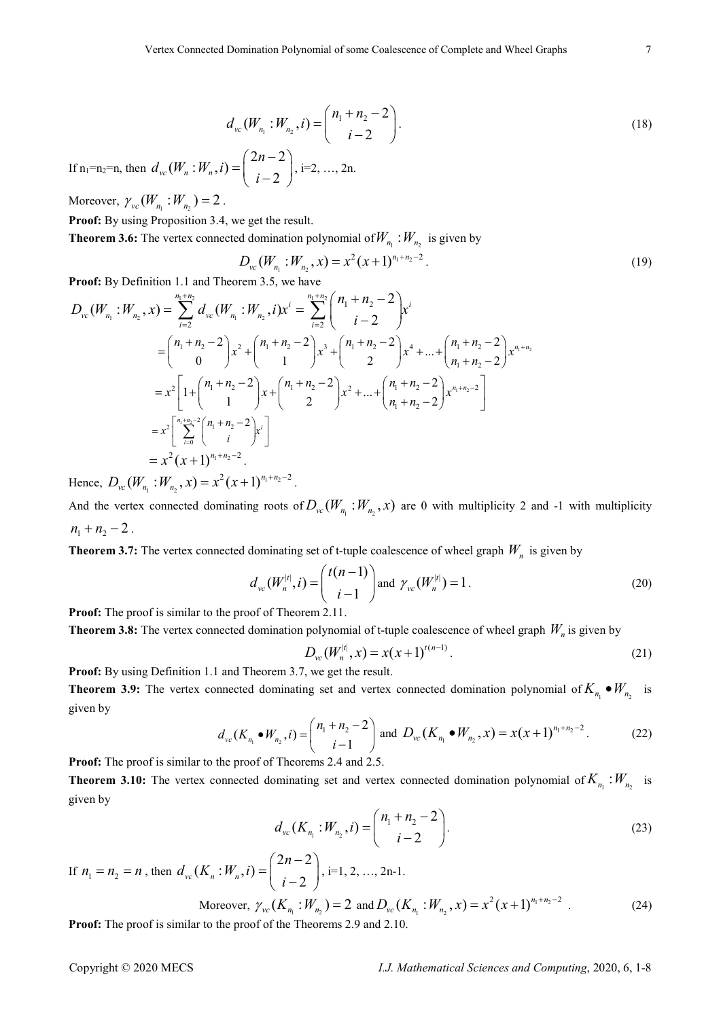$$
d_{vc}(W_{n_1}:W_{n_2},i) = {n_1 + n_2 - 2 \choose i-2}.
$$
 (18)

If  $n_1$ = $n_2$ = $n$ , then  $2n-2$  $(W_n : W_n, i) =$  $v_c(W_n : W_n, l) = \begin{cases} i-2 \end{cases}$  $d_{vc}(W_n:W_n,i) = \begin{cases} 2n \end{cases}$ i  $(2n-2)$ .  $=\left(\begin{array}{c} 2i & 2 \\ i-2 & \end{array}\right)$ , i=2, ..., 2n.

Moreover,  $\gamma_{vc}(W_{n_1}:W_{n_2})=2$ .

Proof: By using Proposition 3.4, we get the result.

**Theorem 3.6:** The vertex connected domination polynomial of  $W_{n_1}$  :  $W_{n_2}$  is given by

$$
D_{vc}(W_{n_1}:W_{n_2},x) = x^2(x+1)^{n_1+n_2-2}.
$$
\n(19)

Proof: By Definition 1.1 and Theorem 3.5, we have

$$
D_{vc}(W_{n_1}:W_{n_2},x) = \sum_{i=2}^{n_1+n_2} d_{vc}(W_{n_1}:W_{n_2},i)x^{i} = \sum_{i=2}^{n_1+n_2} {n_1+n_2-2 \choose i-2} x^{i}
$$
  
\n
$$
= {n_1+n_2-2 \choose 0} x^2 + {n_1+n_2-2 \choose 1} x^3 + {n_1+n_2-2 \choose 2} x^4 + ... + {n_1+n_2-2 \choose n_1+n_2-2} x^{n_1+n_2}
$$
  
\n
$$
= x^2 \left[1 + {n_1+n_2-2 \choose 1} x + {n_1+n_2-2 \choose 2} x^2 + ... + {n_1+n_2-2 \choose n_1+n_2-2} x^{n_1+n_2-2} \right]
$$
  
\n
$$
= x^2 {n_1+n_2-2 \choose i} x^{i}
$$
  
\n
$$
= x^2 (x+1)^{n_1+n_2-2}.
$$

Hence,  $D_{vc}(W_{n_1}:W_{n_2},x) = x^2(x+1)^{n_1+n_2-1}$  $D_{\nu c}(W_{n_1}:W_{n_2},x)=x^2(x+1)^{n_1+n_2-2}$ .

And the vertex connected dominating roots of  $D_{vc}(W_{n_1}:W_{n_2},x)$  are 0 with multiplicity 2 and -1 with multiplicity  $n_1 + n_2 - 2$ .

**Theorem 3.7:** The vertex connected dominating set of t-tuple coalescence of wheel graph  $W_n$  is given by

$$
d_{\rm vc}(W_n^{|t|}, i) = \binom{t(n-1)}{i-1} \text{ and } \gamma_{\rm vc}(W_n^{|t|}) = 1.
$$
 (20)

Proof: The proof is similar to the proof of Theorem 2.11.

**Theorem 3.8:** The vertex connected domination polynomial of t-tuple coalescence of wheel graph  $W_n$  is given by

$$
D_{vc}(W_n^{|t|}, x) = x(x+1)^{t(n-1)}.
$$
\n(21)

Proof: By using Definition 1.1 and Theorem 3.7, we get the result.

**Theorem 3.9:** The vertex connected dominating set and vertex connected domination polynomial of  $K_{n_1} \bullet W_{n_2}$  is given by

$$
d_{\rm vc}(K_{n_1} \bullet W_{n_2}, i) = {n_1 + n_2 - 2 \choose i - 1}
$$
 and  $D_{\rm vc}(K_{n_1} \bullet W_{n_2}, x) = x(x + 1)^{n_1 + n_2 - 2}$ . (22)

Proof: The proof is similar to the proof of Theorems 2.4 and 2.5.

**Theorem 3.10:** The vertex connected dominating set and vertex connected domination polynomial of  $K_{n_1}$ :  $W_{n_2}$  is given by

$$
d_{vc}(K_{n_1}:W_{n_2},i) = {n_1 + n_2 - 2 \choose i-2}.
$$
 (23)

If  $n_1 = n_2 = n$ , then  $2n-2$  $(K_n : W_n, i) =$  $v_c(\Lambda_n : W_n, l) = \begin{cases} i-2 \end{cases}$  $d_{vc}(K_n : W_n, i) = \begin{cases} 2n \end{cases}$ i  $\left(2n-2\right)$ .  $=\left(\begin{array}{cc} 2i & 2 \\ i-2 & \end{array}\right)$ , i=1, 2, ..., 2n-1.

Moreover, 
$$
\gamma_{vc}(K_{n_1}:W_{n_2}) = 2
$$
 and  $D_{vc}(K_{n_1}:W_{n_2},x) = x^2(x+1)^{n_1+n_2-2}$ . (24)

Proof: The proof is similar to the proof of the Theorems 2.9 and 2.10.